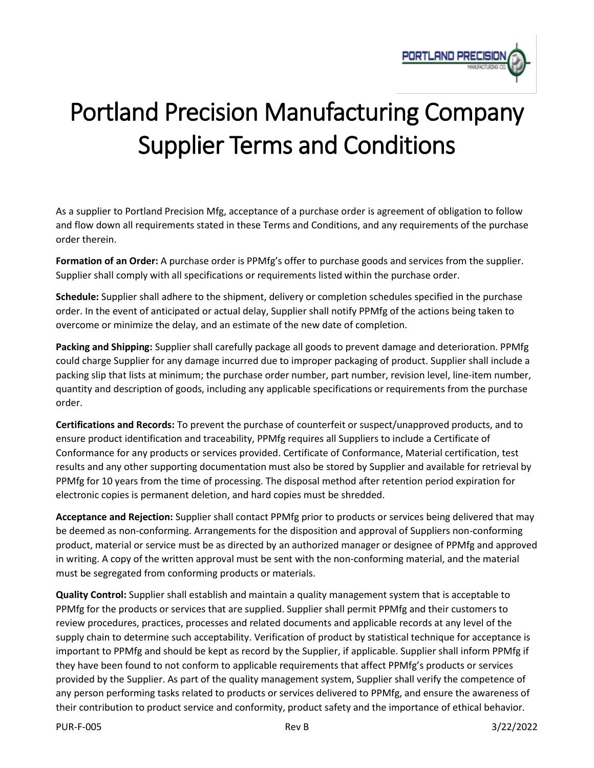

## Portland Precision Manufacturing Company Supplier Terms and Conditions

As a supplier to Portland Precision Mfg, acceptance of a purchase order is agreement of obligation to follow and flow down all requirements stated in these Terms and Conditions, and any requirements of the purchase order therein.

**Formation of an Order:** A purchase order is PPMfg's offer to purchase goods and services from the supplier. Supplier shall comply with all specifications or requirements listed within the purchase order.

**Schedule:** Supplier shall adhere to the shipment, delivery or completion schedules specified in the purchase order. In the event of anticipated or actual delay, Supplier shall notify PPMfg of the actions being taken to overcome or minimize the delay, and an estimate of the new date of completion.

**Packing and Shipping:** Supplier shall carefully package all goods to prevent damage and deterioration. PPMfg could charge Supplier for any damage incurred due to improper packaging of product. Supplier shall include a packing slip that lists at minimum; the purchase order number, part number, revision level, line-item number, quantity and description of goods, including any applicable specifications or requirements from the purchase order.

**Certifications and Records:** To prevent the purchase of counterfeit or suspect/unapproved products, and to ensure product identification and traceability, PPMfg requires all Suppliers to include a Certificate of Conformance for any products or services provided. Certificate of Conformance, Material certification, test results and any other supporting documentation must also be stored by Supplier and available for retrieval by PPMfg for 10 years from the time of processing. The disposal method after retention period expiration for electronic copies is permanent deletion, and hard copies must be shredded.

**Acceptance and Rejection:** Supplier shall contact PPMfg prior to products or services being delivered that may be deemed as non-conforming. Arrangements for the disposition and approval of Suppliers non-conforming product, material or service must be as directed by an authorized manager or designee of PPMfg and approved in writing. A copy of the written approval must be sent with the non-conforming material, and the material must be segregated from conforming products or materials.

**Quality Control:** Supplier shall establish and maintain a quality management system that is acceptable to PPMfg for the products or services that are supplied. Supplier shall permit PPMfg and their customers to review procedures, practices, processes and related documents and applicable records at any level of the supply chain to determine such acceptability. Verification of product by statistical technique for acceptance is important to PPMfg and should be kept as record by the Supplier, if applicable. Supplier shall inform PPMfg if they have been found to not conform to applicable requirements that affect PPMfg's products or services provided by the Supplier. As part of the quality management system, Supplier shall verify the competence of any person performing tasks related to products or services delivered to PPMfg, and ensure the awareness of their contribution to product service and conformity, product safety and the importance of ethical behavior.